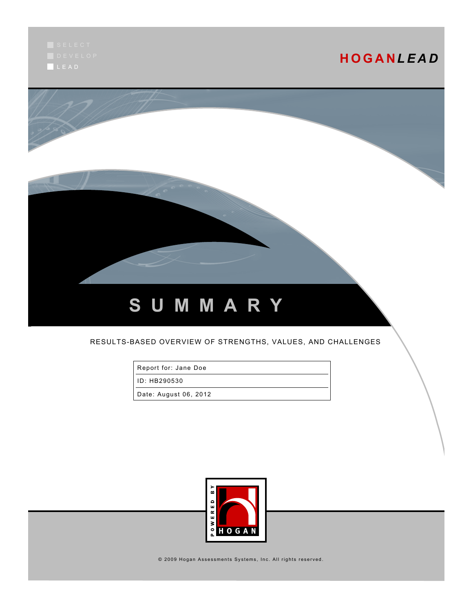L E A D

# **H O G A N***L E A D*



#### RESULTS-BASED OVERVIEW OF STRENGTHS, VALUES, AND CHALLENGES

Report for: Jane Doe

ID: HB290530

Date: August 06, 2012



© 2009 Hogan Assessments Systems, Inc. All rights reserved.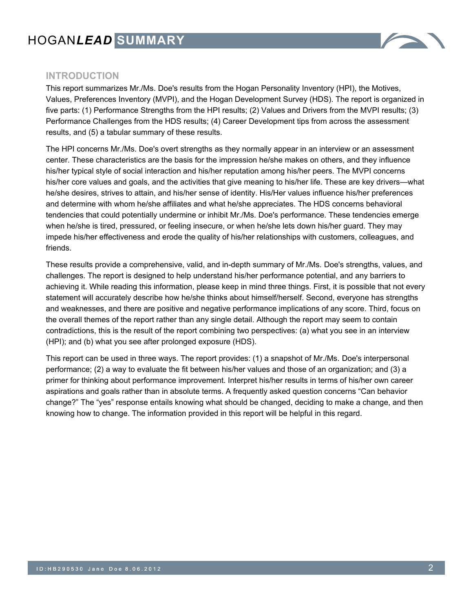# HOGAN*LEAD* **SUMMARY**



### **INTRODUCTION**

This report summarizes Mr./Ms. Doe's results from the Hogan Personality Inventory (HPI), the Motives, Values, Preferences Inventory (MVPI), and the Hogan Development Survey (HDS). The report is organized in five parts: (1) Performance Strengths from the HPI results; (2) Values and Drivers from the MVPI results; (3) Performance Challenges from the HDS results; (4) Career Development tips from across the assessment results, and (5) a tabular summary of these results.

The HPI concerns Mr./Ms. Doe's overt strengths as they normally appear in an interview or an assessment center. These characteristics are the basis for the impression he/she makes on others, and they influence his/her typical style of social interaction and his/her reputation among his/her peers. The MVPI concerns his/her core values and goals, and the activities that give meaning to his/her life. These are key drivers—what he/she desires, strives to attain, and his/her sense of identity. His/Her values influence his/her preferences and determine with whom he/she affiliates and what he/she appreciates. The HDS concerns behavioral tendencies that could potentially undermine or inhibit Mr./Ms. Doe's performance. These tendencies emerge when he/she is tired, pressured, or feeling insecure, or when he/she lets down his/her guard. They may impede his/her effectiveness and erode the quality of his/her relationships with customers, colleagues, and friends.

These results provide a comprehensive, valid, and in-depth summary of Mr./Ms. Doe's strengths, values, and challenges. The report is designed to help understand his/her performance potential, and any barriers to achieving it. While reading this information, please keep in mind three things. First, it is possible that not every statement will accurately describe how he/she thinks about himself/herself. Second, everyone has strengths and weaknesses, and there are positive and negative performance implications of any score. Third, focus on the overall themes of the report rather than any single detail. Although the report may seem to contain contradictions, this is the result of the report combining two perspectives: (a) what you see in an interview (HPI); and (b) what you see after prolonged exposure (HDS).

This report can be used in three ways. The report provides: (1) a snapshot of Mr./Ms. Doe's interpersonal performance; (2) a way to evaluate the fit between his/her values and those of an organization; and (3) a primer for thinking about performance improvement. Interpret his/her results in terms of his/her own career aspirations and goals rather than in absolute terms. A frequently asked question concerns "Can behavior change?" The "yes" response entails knowing what should be changed, deciding to make a change, and then knowing how to change. The information provided in this report will be helpful in this regard.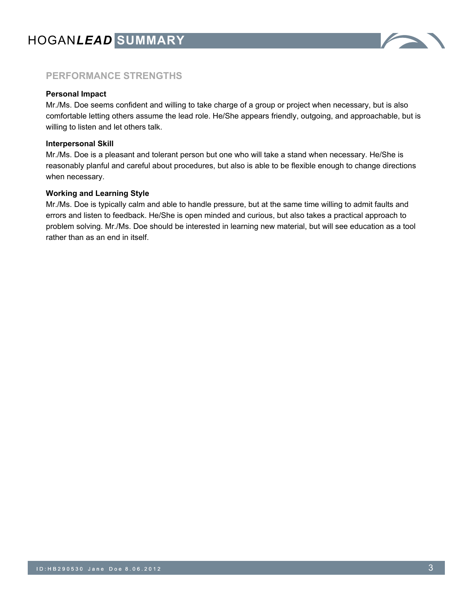

## **PERFORMANCE STRENGTHS**

#### **Personal Impact**

Mr./Ms. Doe seems confident and willing to take charge of a group or project when necessary, but is also comfortable letting others assume the lead role. He/She appears friendly, outgoing, and approachable, but is willing to listen and let others talk.

#### **Interpersonal Skill**

Mr./Ms. Doe is a pleasant and tolerant person but one who will take a stand when necessary. He/She is reasonably planful and careful about procedures, but also is able to be flexible enough to change directions when necessary.

#### **Working and Learning Style**

Mr./Ms. Doe is typically calm and able to handle pressure, but at the same time willing to admit faults and errors and listen to feedback. He/She is open minded and curious, but also takes a practical approach to problem solving. Mr./Ms. Doe should be interested in learning new material, but will see education as a tool rather than as an end in itself.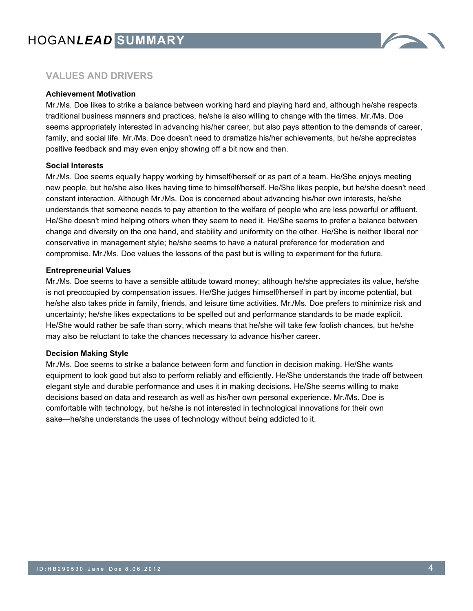

## **VALUES AND DRIVERS**

#### **Achievement Motivation**

Mr./Ms. Doe likes to strike a balance between working hard and playing hard and, although he/she respects traditional business manners and practices, he/she is also willing to change with the times. Mr./Ms. Doe seems appropriately interested in advancing his/her career, but also pays attention to the demands of career, family, and social life. Mr./Ms. Doe doesn't need to dramatize his/her achievements, but he/she appreciates positive feedback and may even enjoy showing off a bit now and then.

#### **Social Interests**

Mr./Ms. Doe seems equally happy working by himself/herself or as part of a team. He/She enjoys meeting new people, but he/she also likes having time to himself/herself. He/She likes people, but he/she doesn't need constant interaction. Although Mr./Ms. Doe is concerned about advancing his/her own interests, he/she understands that someone needs to pay attention to the welfare of people who are less powerful or affluent. He/She doesn't mind helping others when they seem to need it. He/She seems to prefer a balance between change and diversity on the one hand, and stability and uniformity on the other. He/She is neither liberal nor conservative in management style; he/she seems to have a natural preference for moderation and compromise. Mr./Ms. Doe values the lessons of the past but is willing to experiment for the future.

#### **Entrepreneurial Values**

Mr./Ms. Doe seems to have a sensible attitude toward money; although he/she appreciates its value, he/she is not preoccupied by compensation issues. He/She judges himself/herself in part by income potential, but he/she also takes pride in family, friends, and leisure time activities. Mr./Ms. Doe prefers to minimize risk and uncertainty; he/she likes expectations to be spelled out and performance standards to be made explicit. He/She would rather be safe than sorry, which means that he/she will take few foolish chances, but he/she may also be reluctant to take the chances necessary to advance his/her career.

#### **Decision Making Style**

Mr./Ms. Doe seems to strike a balance between form and function in decision making. He/She wants equipment to look good but also to perform reliably and efficiently. He/She understands the trade off between elegant style and durable performance and uses it in making decisions. He/She seems willing to make decisions based on data and research as well as his/her own personal experience. Mr./Ms. Doe is comfortable with technology, but he/she is not interested in technological innovations for their own sake—he/she understands the uses of technology without being addicted to it.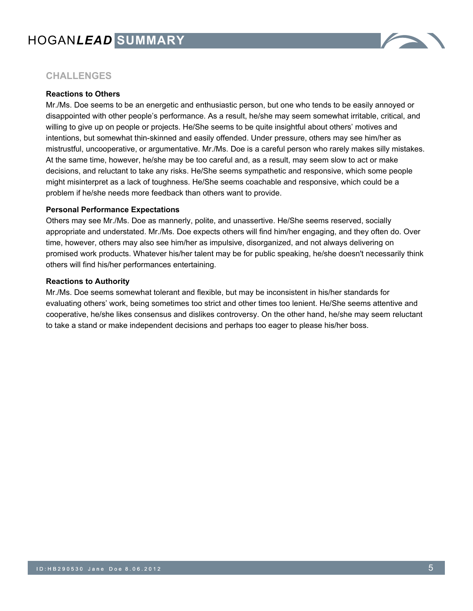

## **CHALLENGES**

#### **Reactions to Others**

Mr./Ms. Doe seems to be an energetic and enthusiastic person, but one who tends to be easily annoyed or disappointed with other people's performance. As a result, he/she may seem somewhat irritable, critical, and willing to give up on people or projects. He/She seems to be quite insightful about others' motives and intentions, but somewhat thin-skinned and easily offended. Under pressure, others may see him/her as mistrustful, uncooperative, or argumentative. Mr./Ms. Doe is a careful person who rarely makes silly mistakes. At the same time, however, he/she may be too careful and, as a result, may seem slow to act or make decisions, and reluctant to take any risks. He/She seems sympathetic and responsive, which some people might misinterpret as a lack of toughness. He/She seems coachable and responsive, which could be a problem if he/she needs more feedback than others want to provide.

#### **Personal Performance Expectations**

Others may see Mr./Ms. Doe as mannerly, polite, and unassertive. He/She seems reserved, socially appropriate and understated. Mr./Ms. Doe expects others will find him/her engaging, and they often do. Over time, however, others may also see him/her as impulsive, disorganized, and not always delivering on promised work products. Whatever his/her talent may be for public speaking, he/she doesn't necessarily think others will find his/her performances entertaining.

#### **Reactions to Authority**

Mr./Ms. Doe seems somewhat tolerant and flexible, but may be inconsistent in his/her standards for evaluating others' work, being sometimes too strict and other times too lenient. He/She seems attentive and cooperative, he/she likes consensus and dislikes controversy. On the other hand, he/she may seem reluctant to take a stand or make independent decisions and perhaps too eager to please his/her boss.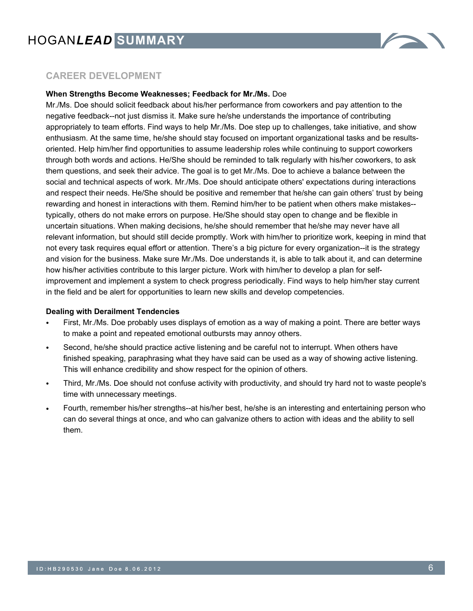

## **CAREER DEVELOPMENT**

#### **When Strengths Become Weaknesses; Feedback for Mr./Ms.** Doe

Mr./Ms. Doe should solicit feedback about his/her performance from coworkers and pay attention to the negative feedback--not just dismiss it. Make sure he/she understands the importance of contributing appropriately to team efforts. Find ways to help Mr./Ms. Doe step up to challenges, take initiative, and show enthusiasm. At the same time, he/she should stay focused on important organizational tasks and be resultsoriented. Help him/her find opportunities to assume leadership roles while continuing to support coworkers through both words and actions. He/She should be reminded to talk regularly with his/her coworkers, to ask them questions, and seek their advice. The goal is to get Mr./Ms. Doe to achieve a balance between the social and technical aspects of work. Mr./Ms. Doe should anticipate others' expectations during interactions and respect their needs. He/She should be positive and remember that he/she can gain others' trust by being rewarding and honest in interactions with them. Remind him/her to be patient when others make mistakes- typically, others do not make errors on purpose. He/She should stay open to change and be flexible in uncertain situations. When making decisions, he/she should remember that he/she may never have all relevant information, but should still decide promptly. Work with him/her to prioritize work, keeping in mind that not every task requires equal effort or attention. There's a big picture for every organization--it is the strategy and vision for the business. Make sure Mr./Ms. Doe understands it, is able to talk about it, and can determine how his/her activities contribute to this larger picture. Work with him/her to develop a plan for selfimprovement and implement a system to check progress periodically. Find ways to help him/her stay current in the field and be alert for opportunities to learn new skills and develop competencies.

#### **Dealing with Derailment Tendencies**

- First, Mr./Ms. Doe probably uses displays of emotion as a way of making a point. There are better ways to make a point and repeated emotional outbursts may annoy others.
- Second, he/she should practice active listening and be careful not to interrupt. When others have finished speaking, paraphrasing what they have said can be used as a way of showing active listening. This will enhance credibility and show respect for the opinion of others.
- Third, Mr./Ms. Doe should not confuse activity with productivity, and should try hard not to waste people's time with unnecessary meetings.
- Fourth, remember his/her strengths--at his/her best, he/she is an interesting and entertaining person who can do several things at once, and who can galvanize others to action with ideas and the ability to sell them.